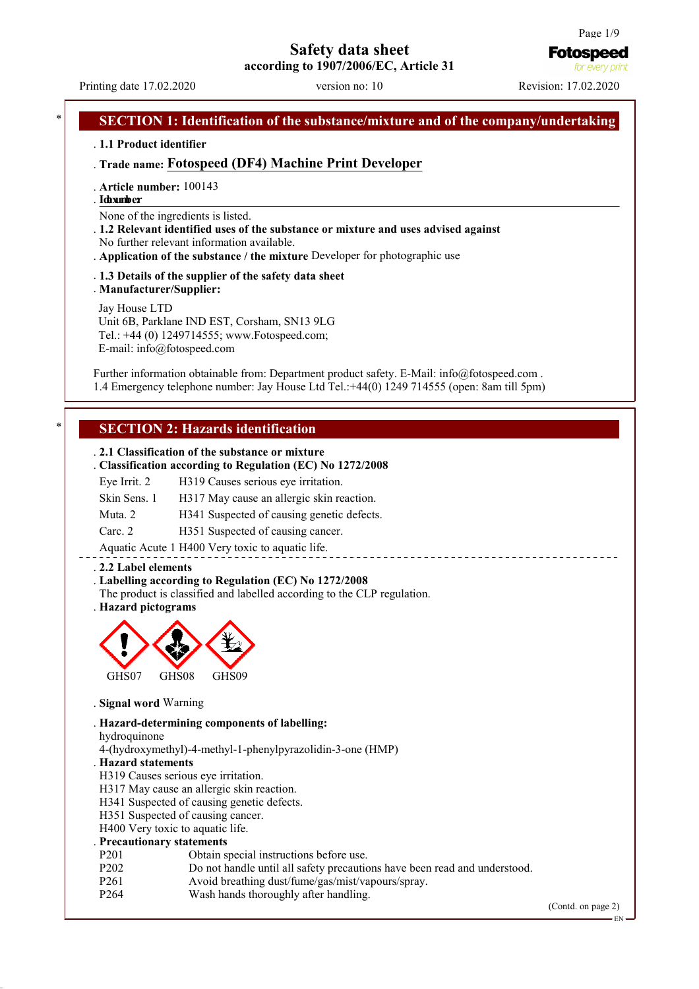# **Safety data sheet**

**according to 1907/2006/EC, Article 31**

Printing date 17.02.2020 version no: 10 Revision: 17.02.2020

**Fotospeed** for every p

# . **1.1 Product identifier** . **Trade name: Fotospeed (DF4) Machine Print Developer** . **Article number:** 100143 . **I dne x umnb e : r**  None of the ingredients is listed.

**SECTION 1: Identification of the substance/mixture and of the company/undertaking** 

- . **1.2 Relevant identified uses of the substance or mixture and uses advised against** No further relevant information available.
- . **Application of the substance / the mixture** Developer for photographic use
- . **1.3 Details of the supplier of the safety data sheet** . **Manufacturer/Supplier:**

Jay House LTD Unit 6B, Parklane IND EST, Corsham, SN13 9LG Tel.: +44 (0) 1249714555; www.Fotospeed.com; E-mail: info@fotospeed.com

Further information obtainable from: Department product safety. E-Mail: info@fotospeed.com. 1.4 Emergency telephone number: Jay House Ltd Tel.:+44(0) 1249 714555 (open: 8am till 5pm)

## **SECTION 2: Hazards identification**

### . **2.1 Classification of the substance or mixture**

| . Classification according to Regulation (EC) No 1272/2008 |                                            |  |  |
|------------------------------------------------------------|--------------------------------------------|--|--|
| Eye Irrit. 2                                               | H319 Causes serious eye irritation.        |  |  |
| Skin Sens. 1                                               | H317 May cause an allergic skin reaction.  |  |  |
| Muta, 2                                                    | H341 Suspected of causing genetic defects. |  |  |
| Carc. 2                                                    | H351 Suspected of causing cancer.          |  |  |

Aquatic Acute 1 H400 Very toxic to aquatic life.

### . **2.2 Label elements**

### . **Labelling according to Regulation (EC) No 1272/2008**

The product is classified and labelled according to the CLP regulation.

. **Hazard pictograms**



. **Signal word** Warning

. **Hazard-determining components of labelling:**

hydroquinone

4-(hydroxymethyl)-4-methyl-1-phenylpyrazolidin-3-one (HMP)

### . **Hazard statements**

- H319 Causes serious eye irritation.
- H317 May cause an allergic skin reaction.
- H341 Suspected of causing genetic defects.
- H351 Suspected of causing cancer.
- H400 Very toxic to aquatic life.

### . **Precautionary statements**

- P201 Obtain special instructions before use.<br>P202 Do not handle until all safety precautic
- P202 Do not handle until all safety precautions have been read and understood.<br>P261 Avoid breathing dust/fume/gas/mist/vapours/spray.
- P261 Avoid breathing dust/fume/gas/mist/vapours/spray.<br>P264 Wash hands thoroughly after handling
- Wash hands thoroughly after handling.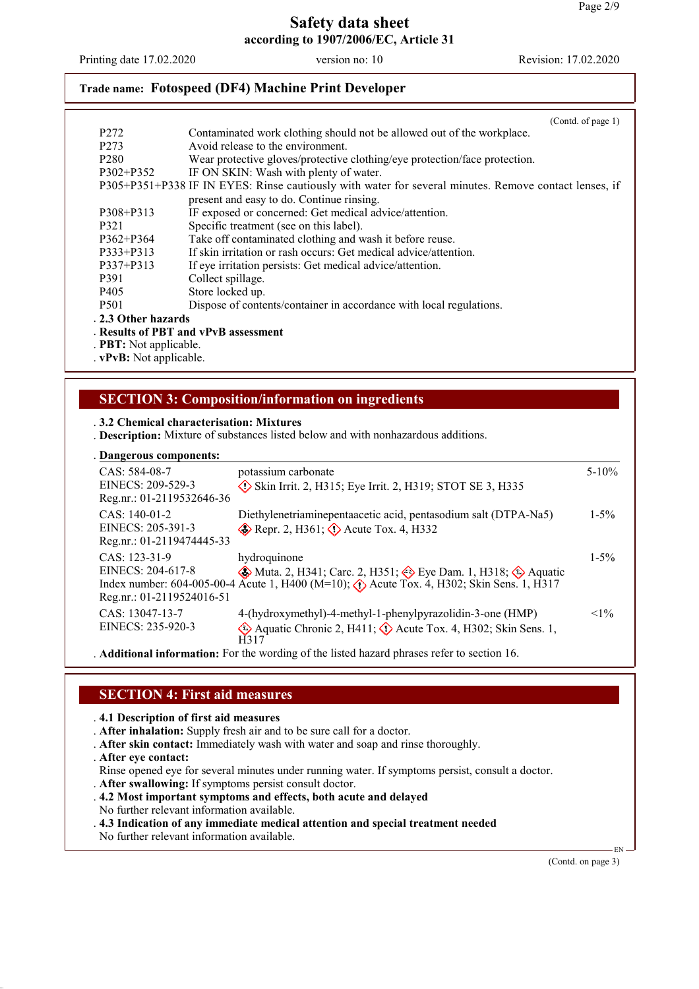Printing date 17.02.2020 version no: 10 Revision: 17.02.2020

# **Trade name: Fotospeed (DF4) Machine Print Developer**

|                               | (Cond. of page 1)                                                                                     |
|-------------------------------|-------------------------------------------------------------------------------------------------------|
| P <sub>272</sub>              | Contaminated work clothing should not be allowed out of the workplace.                                |
| P <sub>273</sub>              | Avoid release to the environment.                                                                     |
| P <sub>280</sub>              | Wear protective gloves/protective clothing/eye protection/face protection.                            |
| $P302 + P352$                 | IF ON SKIN: Wash with plenty of water.                                                                |
|                               | P305+P351+P338 IF IN EYES: Rinse cautiously with water for several minutes. Remove contact lenses, if |
|                               | present and easy to do. Continue rinsing.                                                             |
| P308+P313                     | IF exposed or concerned: Get medical advice/attention.                                                |
| P321                          | Specific treatment (see on this label).                                                               |
| $P362 + P364$                 | Take off contaminated clothing and wash it before reuse.                                              |
| P333+P313                     | If skin irritation or rash occurs: Get medical advice/attention.                                      |
| P337+P313                     | If eye irritation persists: Get medical advice/attention.                                             |
| P391                          | Collect spillage.                                                                                     |
| P <sub>405</sub>              | Store locked up.                                                                                      |
| P <sub>501</sub>              | Dispose of contents/container in accordance with local regulations.                                   |
| . 2.3 Other hazards           |                                                                                                       |
|                               | Results of PBT and vPvB assessment                                                                    |
| . <b>PBT:</b> Not applicable. |                                                                                                       |
| $.$ $vPvB:$ Not applicable.   |                                                                                                       |

## **SECTION 3: Composition/information on ingredients**

### . **3.2 Chemical characterisation: Mixtures**

. **Description:** Mixture of substances listed below and with nonhazardous additions.

|  |  |  |  | . Dangerous components: |
|--|--|--|--|-------------------------|
|--|--|--|--|-------------------------|

| CAS: 584-08-7<br>EINECS: 209-529-3<br>Reg.nr.: 01-2119532646-36 | potassium carbonate<br>$\Diamond$ Skin Irrit. 2, H315; Eye Irrit. 2, H319; STOT SE 3, H335                                                                                                                                           | $5 - 10\%$ |
|-----------------------------------------------------------------|--------------------------------------------------------------------------------------------------------------------------------------------------------------------------------------------------------------------------------------|------------|
| CAS: 140-01-2<br>EINECS: 205-391-3<br>Reg.nr.: 01-2119474445-33 | Diethylenetriaminepentaacetic acid, pentasodium salt (DTPA-Na5)<br>Repr. 2, H361; $\Diamond$ Acute Tox. 4, H332                                                                                                                      | $1 - 5\%$  |
| CAS: 123-31-9<br>EINECS: 204-617-8<br>Reg.nr.: 01-2119524016-51 | hydroquinone<br>$\circledast$ Muta. 2, H341; Carc. 2, H351; $\circledast$ Eye Dam. 1, H318; $\circledast$ Aquatic<br>Index number: 604-005-00-4 Acute 1, H400 (M=10); $\langle \cdot \rangle$ Acute Tox. 4, H302; Skin Sens. 1, H317 | $1 - 5\%$  |
| CAS: 13047-13-7<br>EINECS: 235-920-3                            | 4-(hydroxymethyl)-4-methyl-1-phenylpyrazolidin-3-one (HMP)<br>Aquatic Chronic 2, H411; $\Diamond$ Acute Tox. 4, H302; Skin Sens. 1,<br>H317                                                                                          | $<1\%$     |
|                                                                 | A did the condition of the condition of the condition of the different distances of $\mathcal{C}_1$ and $\mathcal{C}_2$ are $\mathcal{C}_3$ . If $\mathcal{C}_4$                                                                     |            |

. **Additional information:** For the wording of the listed hazard phrases refer to section 16.

## **SECTION 4: First aid measures**

. **4.1 Description of first aid measures**

- . **After inhalation:** Supply fresh air and to be sure call for a doctor.
- . **After skin contact:** Immediately wash with water and soap and rinse thoroughly.
- . **After eye contact:**

Rinse opened eye for several minutes under running water. If symptoms persist, consult a doctor.

- . **After swallowing:** If symptoms persist consult doctor.
- . **4.2 Most important symptoms and effects, both acute and delayed**
- No further relevant information available.
- . **4.3 Indication of any immediate medical attention and special treatment needed** No further relevant information available.

(Contd. on page 3)

EN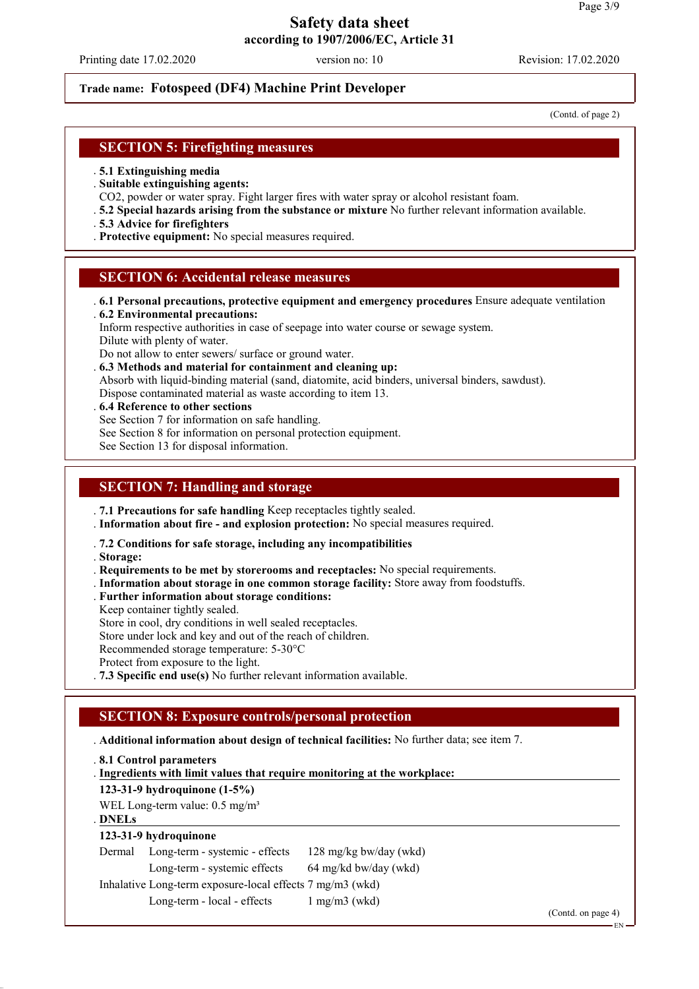Printing date 17.02.2020 version no: 10 Revision: 17.02.2020

## **Trade name: Fotospeed (DF4) Machine Print Developer**

(Contd. of page 2)

## **SECTION 5: Firefighting measures**

- . **5.1 Extinguishing media**
- . **Suitable extinguishing agents:**
- CO2, powder or water spray. Fight larger fires with water spray or alcohol resistant foam.
- . **5.2 Special hazards arising from the substance or mixture** No further relevant information available.
- . **5.3 Advice for firefighters**
- . **Protective equipment:** No special measures required.

### **SECTION 6: Accidental release measures**

. **6.1 Personal precautions, protective equipment and emergency procedures** Ensure adequate ventilation . **6.2 Environmental precautions:**

Inform respective authorities in case of seepage into water course or sewage system. Dilute with plenty of water.

Do not allow to enter sewers/ surface or ground water.

. **6.3 Methods and material for containment and cleaning up:** Absorb with liquid-binding material (sand, diatomite, acid binders, universal binders, sawdust). Dispose contaminated material as waste according to item 13.

- . **6.4 Reference to other sections**
- See Section 7 for information on safe handling.
- See Section 8 for information on personal protection equipment.

See Section 13 for disposal information.

## **SECTION 7: Handling and storage**

. **7.1 Precautions for safe handling** Keep receptacles tightly sealed.

. **Information about fire - and explosion protection:** No special measures required.

. **7.2 Conditions for safe storage, including any incompatibilities**

- . **Storage:**
- . **Requirements to be met by storerooms and receptacles:** No special requirements.
- . **Information about storage in one common storage facility:** Store away from foodstuffs.
- . **Further information about storage conditions:**
- Keep container tightly sealed.

Store in cool, dry conditions in well sealed receptacles.

Store under lock and key and out of the reach of children.

Recommended storage temperature: 5-30°C

Protect from exposure to the light.

. **7.3 Specific end use(s)** No further relevant information available.

## **SECTION 8: Exposure controls/personal protection**

### . **Additional information about design of technical facilities:** No further data; see item 7.

. **8.1 Control parameters**

**Ingredients with limit values that require monitoring at the workplace:** .

**123-31-9 hydroquinone (1-5%)**

WEL Long-term value:  $0.5 \text{ mg/m}^3$ 

### **DNELs** .

### **123-31-9 hydroquinone**

Dermal Long-term - systemic - effects 128 mg/kg bw/day (wkd)

Long-term - systemic effects 64 mg/kd bw/day (wkd)

Inhalative Long-term exposure-local effects 7 mg/m3 (wkd)

Long-term - local - effects 1 mg/m3 (wkd)

(Contd. on page 4)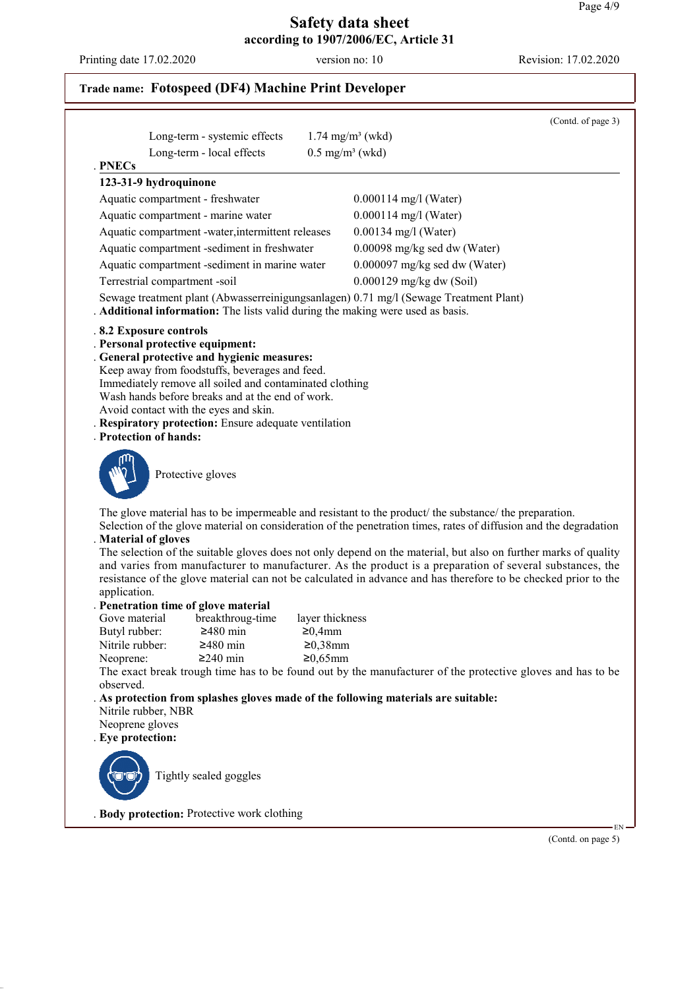Printing date 17.02.2020 version no: 10 Revision: 17.02.2020

# **Trade name: Fotospeed (DF4) Machine Print Developer**

|                                  |                                                                                                             |                               |                                                                                                                                                                                                                           | (Contd. of page 3) |
|----------------------------------|-------------------------------------------------------------------------------------------------------------|-------------------------------|---------------------------------------------------------------------------------------------------------------------------------------------------------------------------------------------------------------------------|--------------------|
|                                  | Long-term - systemic effects                                                                                |                               | $1.74$ mg/m <sup>3</sup> (wkd)                                                                                                                                                                                            |                    |
| <b>PNECs</b>                     | Long-term - local effects                                                                                   | $0.5$ mg/m <sup>3</sup> (wkd) |                                                                                                                                                                                                                           |                    |
| 123-31-9 hydroquinone            |                                                                                                             |                               |                                                                                                                                                                                                                           |                    |
| Aquatic compartment - freshwater |                                                                                                             |                               | $0.000114$ mg/l (Water)                                                                                                                                                                                                   |                    |
|                                  | Aquatic compartment - marine water                                                                          |                               | $0.000114$ mg/l (Water)                                                                                                                                                                                                   |                    |
|                                  | Aquatic compartment -water, intermittent releases                                                           |                               | $0.00134$ mg/l (Water)                                                                                                                                                                                                    |                    |
|                                  | Aquatic compartment -sediment in freshwater                                                                 |                               | 0.00098 mg/kg sed dw (Water)                                                                                                                                                                                              |                    |
|                                  | Aquatic compartment -sediment in marine water                                                               |                               | $0.000097$ mg/kg sed dw (Water)                                                                                                                                                                                           |                    |
| Terrestrial compartment -soil    |                                                                                                             |                               | 0.000129 mg/kg dw (Soil)                                                                                                                                                                                                  |                    |
|                                  |                                                                                                             |                               |                                                                                                                                                                                                                           |                    |
|                                  |                                                                                                             |                               | Sewage treatment plant (Abwasserreinigungsanlagen) 0.71 mg/l (Sewage Treatment Plant)<br>. Additional information: The lists valid during the making were used as basis.                                                  |                    |
| .8.2 Exposure controls           |                                                                                                             |                               |                                                                                                                                                                                                                           |                    |
| . Personal protective equipment: |                                                                                                             |                               |                                                                                                                                                                                                                           |                    |
|                                  | General protective and hygienic measures:                                                                   |                               |                                                                                                                                                                                                                           |                    |
|                                  | Keep away from foodstuffs, beverages and feed.                                                              |                               |                                                                                                                                                                                                                           |                    |
|                                  | Immediately remove all soiled and contaminated clothing<br>Wash hands before breaks and at the end of work. |                               |                                                                                                                                                                                                                           |                    |
|                                  | Avoid contact with the eyes and skin.                                                                       |                               |                                                                                                                                                                                                                           |                    |
|                                  | . Respiratory protection: Ensure adequate ventilation                                                       |                               |                                                                                                                                                                                                                           |                    |
| . Protection of hands:           |                                                                                                             |                               |                                                                                                                                                                                                                           |                    |
|                                  | Protective gloves                                                                                           |                               |                                                                                                                                                                                                                           |                    |
|                                  |                                                                                                             |                               | The glove material has to be impermeable and resistant to the product the substance the preparation.<br>Selection of the glove material on consideration of the penetration times, rates of diffusion and the degradation |                    |
| . Material of gloves             |                                                                                                             |                               | The selection of the suitable gloves does not only depend on the material, but also on further marks of quality                                                                                                           |                    |
|                                  |                                                                                                             |                               | and varies from manufacturer to manufacturer. As the product is a preparation of several substances, the                                                                                                                  |                    |
|                                  |                                                                                                             |                               | resistance of the glove material can not be calculated in advance and has therefore to be checked prior to the                                                                                                            |                    |
| application.                     |                                                                                                             |                               |                                                                                                                                                                                                                           |                    |
|                                  | . Penetration time of glove material                                                                        |                               |                                                                                                                                                                                                                           |                    |
| Gove material                    | breakthroug-time                                                                                            | layer thickness               |                                                                                                                                                                                                                           |                    |
| Butyl rubber:                    | $≥480$ min                                                                                                  | ≥0,4mm                        |                                                                                                                                                                                                                           |                    |
| Nitrile rubber:                  | $≥480$ min                                                                                                  | $≥0,38$ mm                    |                                                                                                                                                                                                                           |                    |
| Neoprene:                        | $≥240$ min                                                                                                  | $≥0,65$ mm                    | The exact break trough time has to be found out by the manufacturer of the protective gloves and has to be                                                                                                                |                    |
| observed.                        |                                                                                                             |                               |                                                                                                                                                                                                                           |                    |
|                                  |                                                                                                             |                               | . As protection from splashes gloves made of the following materials are suitable:                                                                                                                                        |                    |
| Nitrile rubber, NBR              |                                                                                                             |                               |                                                                                                                                                                                                                           |                    |
| Neoprene gloves                  |                                                                                                             |                               |                                                                                                                                                                                                                           |                    |
| . Eye protection:                |                                                                                                             |                               |                                                                                                                                                                                                                           |                    |
|                                  |                                                                                                             |                               |                                                                                                                                                                                                                           |                    |
|                                  | Tightly sealed goggles                                                                                      |                               |                                                                                                                                                                                                                           |                    |
|                                  | . Body protection: Protective work clothing                                                                 |                               |                                                                                                                                                                                                                           |                    |
|                                  |                                                                                                             |                               |                                                                                                                                                                                                                           | EN                 |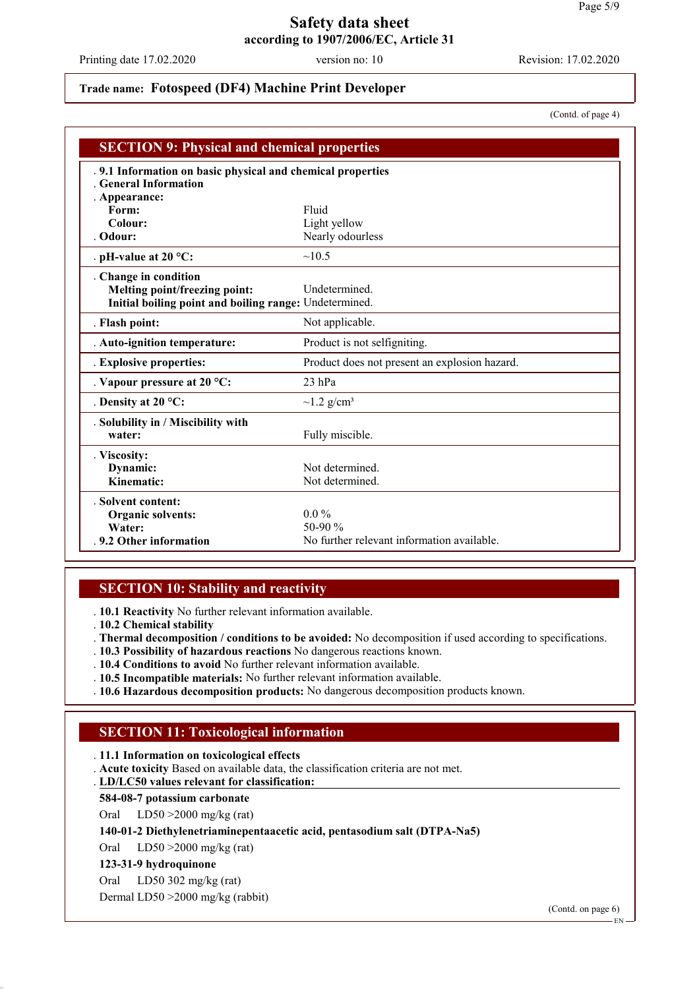Printing date 17.02.2020 version no: 10 Revision: 17.02.2020

# **Trade name: Fotospeed (DF4) Machine Print Developer**

(Contd. of page 4)

| <b>SECTION 9: Physical and chemical properties</b>                                                               |                                                                     |  |
|------------------------------------------------------------------------------------------------------------------|---------------------------------------------------------------------|--|
| .9.1 Information on basic physical and chemical properties<br><b>General Information</b><br>. Appearance:        |                                                                     |  |
| Form:                                                                                                            | Fluid                                                               |  |
| Colour:                                                                                                          | Light yellow                                                        |  |
| . Odour:                                                                                                         | Nearly odourless                                                    |  |
| . pH-value at $20 °C$ :                                                                                          | ~10.5                                                               |  |
| . Change in condition<br>Melting point/freezing point:<br>Initial boiling point and boiling range: Undetermined. | <b>Undetermined</b>                                                 |  |
| . Flash point:                                                                                                   | Not applicable.                                                     |  |
| . Auto-ignition temperature:                                                                                     | Product is not selfigniting.                                        |  |
| . Explosive properties:                                                                                          | Product does not present an explosion hazard.                       |  |
| . Vapour pressure at $20^{\circ}$ C:                                                                             | $23$ hPa                                                            |  |
| . Density at $20^{\circ}$ C:                                                                                     | $\sim$ 1.2 g/cm <sup>3</sup>                                        |  |
| . Solubility in / Miscibility with<br>water:                                                                     | Fully miscible.                                                     |  |
| . Viscosity:<br>Dynamic:<br>Kinematic:                                                                           | Not determined<br>Not determined.                                   |  |
| . Solvent content:<br><b>Organic solvents:</b><br>Water:<br>.9.2 Other information                               | $0.0\%$<br>50-90 $\%$<br>No further relevant information available. |  |

## **SECTION 10: Stability and reactivity**

. **10.1 Reactivity** No further relevant information available.

. **10.2 Chemical stability**

. **Thermal decomposition / conditions to be avoided:** No decomposition if used according to specifications.

- . **10.3 Possibility of hazardous reactions** No dangerous reactions known.
- . **10.4 Conditions to avoid** No further relevant information available.
- . **10.5 Incompatible materials:** No further relevant information available.
- . **10.6 Hazardous decomposition products:** No dangerous decomposition products known.

## **SECTION 11: Toxicological information**

. **11.1 Information on toxicological effects**

. **Acute toxicity** Based on available data, the classification criteria are not met.

**LD/LC50 values relevant for classification:** .

### **584-08-7 potassium carbonate**

Oral LD50 >2000 mg/kg (rat)

### **140-01-2 Diethylenetriaminepentaacetic acid, pentasodium salt (DTPA-Na5)**

Oral LD50 >2000 mg/kg (rat)

### **123-31-9 hydroquinone**

Oral LD50 302 mg/kg (rat)

Dermal LD50 >2000 mg/kg (rabbit)

(Contd. on page 6)

EN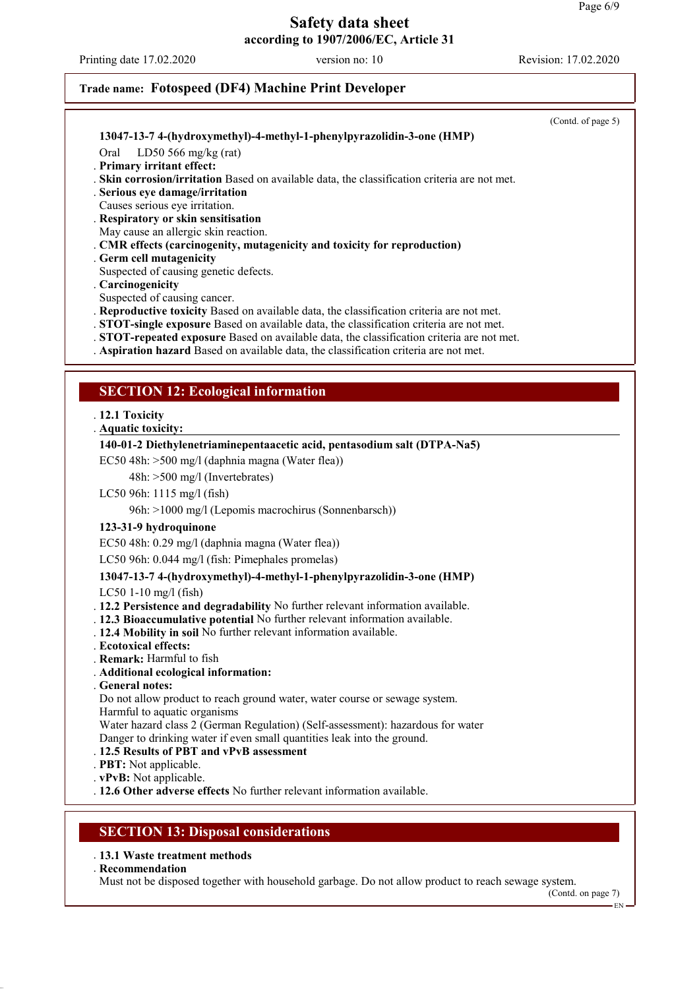Printing date 17.02.2020 version no: 10 Revision: 17.02.2020

(Contd. on page 7)

EN

# **Trade name: Fotospeed (DF4) Machine Print Developer**

|                                                                                                                                                                                       | (Contd. of page 5) |
|---------------------------------------------------------------------------------------------------------------------------------------------------------------------------------------|--------------------|
| 13047-13-7 4-(hydroxymethyl)-4-methyl-1-phenylpyrazolidin-3-one (HMP)                                                                                                                 |                    |
| Oral<br>LD50 566 mg/kg (rat)                                                                                                                                                          |                    |
| . Primary irritant effect:                                                                                                                                                            |                    |
| Skin corrosion/irritation Based on available data, the classification criteria are not met.<br>. Serious eye damage/irritation                                                        |                    |
| Causes serious eye irritation.                                                                                                                                                        |                    |
| . Respiratory or skin sensitisation                                                                                                                                                   |                    |
| May cause an allergic skin reaction.                                                                                                                                                  |                    |
| . CMR effects (carcinogenity, mutagenicity and toxicity for reproduction)<br>Germ cell mutagenicity                                                                                   |                    |
| Suspected of causing genetic defects.                                                                                                                                                 |                    |
| . Carcinogenicity                                                                                                                                                                     |                    |
| Suspected of causing cancer.                                                                                                                                                          |                    |
| . Reproductive toxicity Based on available data, the classification criteria are not met.<br>. STOT-single exposure Based on available data, the classification criteria are not met. |                    |
| . STOT-repeated exposure Based on available data, the classification criteria are not met.                                                                                            |                    |
| . Aspiration hazard Based on available data, the classification criteria are not met.                                                                                                 |                    |
|                                                                                                                                                                                       |                    |
| <b>SECTION 12: Ecological information</b>                                                                                                                                             |                    |
|                                                                                                                                                                                       |                    |
| . 12.1 Toxicity<br>. Aquatic toxicity:                                                                                                                                                |                    |
| 140-01-2 Diethylenetriaminepentaacetic acid, pentasodium salt (DTPA-Na5)                                                                                                              |                    |
| EC50 48h: >500 mg/l (daphnia magna (Water flea))                                                                                                                                      |                    |
| 48h: >500 mg/l (Invertebrates)                                                                                                                                                        |                    |
| LC50 96h: 1115 mg/l (fish)                                                                                                                                                            |                    |
| 96h: >1000 mg/l (Lepomis macrochirus (Sonnenbarsch))                                                                                                                                  |                    |
| 123-31-9 hydroquinone                                                                                                                                                                 |                    |
| EC50 48h: 0.29 mg/l (daphnia magna (Water flea))                                                                                                                                      |                    |
| LC50 96h: 0.044 mg/l (fish: Pimephales promelas)                                                                                                                                      |                    |
| 13047-13-7 4-(hydroxymethyl)-4-methyl-1-phenylpyrazolidin-3-one (HMP)                                                                                                                 |                    |
| LC50 1-10 mg/l (fish)                                                                                                                                                                 |                    |
| . 12.2 Persistence and degradability No further relevant information available.                                                                                                       |                    |
| . 12.3 Bioaccumulative potential No further relevant information available.                                                                                                           |                    |
| . 12.4 Mobility in soil No further relevant information available.<br>. Ecotoxical effects:                                                                                           |                    |
| <b>Remark:</b> Harmful to fish                                                                                                                                                        |                    |
| . Additional ecological information:                                                                                                                                                  |                    |
| . General notes:                                                                                                                                                                      |                    |
| Do not allow product to reach ground water, water course or sewage system.<br>Harmful to aquatic organisms                                                                            |                    |
| Water hazard class 2 (German Regulation) (Self-assessment): hazardous for water                                                                                                       |                    |
| Danger to drinking water if even small quantities leak into the ground.                                                                                                               |                    |
| 12.5 Results of PBT and vPvB assessment                                                                                                                                               |                    |
| <b>PBT:</b> Not applicable.<br>. vPvB: Not applicable.                                                                                                                                |                    |
| . 12.6 Other adverse effects No further relevant information available.                                                                                                               |                    |
|                                                                                                                                                                                       |                    |
| <b>SECTION 13: Disposal considerations</b>                                                                                                                                            |                    |
|                                                                                                                                                                                       |                    |
| . 13.1 Waste treatment methods<br>. Recommendation                                                                                                                                    |                    |
| Must not be disposed together with household garbage. Do not allow product to reach sewage system.                                                                                    |                    |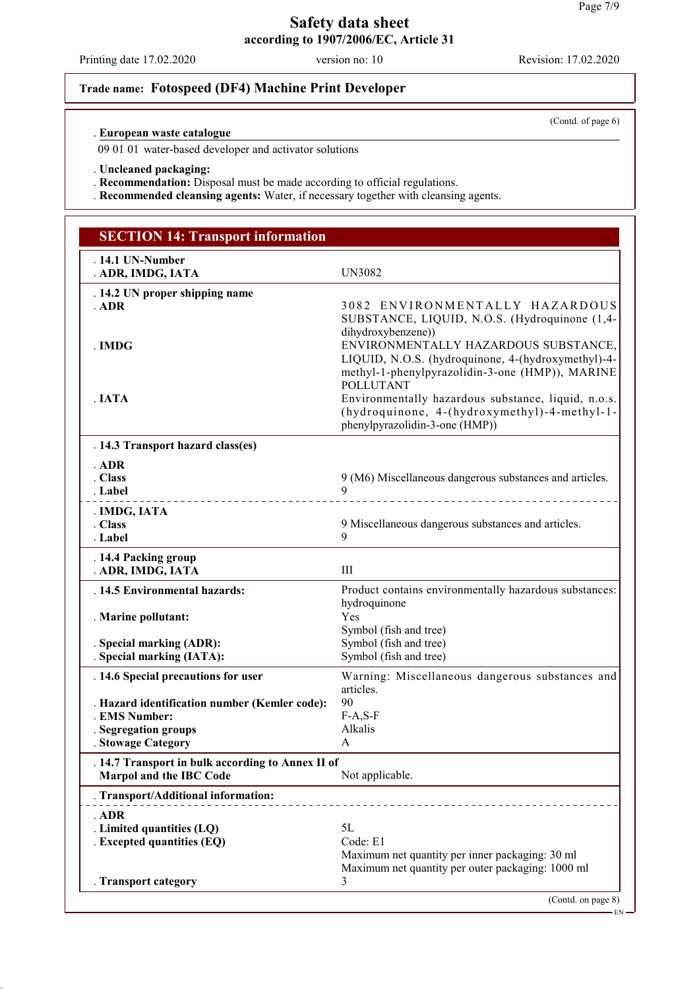Printing date 17.02.2020 version no: 10 Revision: 17.02.2020

(Contd. of page 6)

# **Trade name: Fotospeed (DF4) Machine Print Developer**

### **European waste catalogue** .

09 01 01 water-based developer and activator solutions

. **Uncleaned packaging:**

. **Recommendation:** Disposal must be made according to official regulations.

. **Recommended cleansing agents:** Water, if necessary together with cleansing agents.

| <b>SECTION 14: Transport information</b>                                                               |                                                                                                                                                                                         |  |
|--------------------------------------------------------------------------------------------------------|-----------------------------------------------------------------------------------------------------------------------------------------------------------------------------------------|--|
| . 14.1 UN-Number<br>. ADR, IMDG, IATA                                                                  | <b>UN3082</b>                                                                                                                                                                           |  |
| . 14.2 UN proper shipping name<br>$.$ ADR                                                              | 3082 ENVIRONMENTALLY HAZARDOUS<br>SUBSTANCE, LIQUID, N.O.S. (Hydroquinone (1,4-                                                                                                         |  |
| . IMDG                                                                                                 | dihydroxybenzene))<br>ENVIRONMENTALLY HAZARDOUS SUBSTANCE,<br>LIQUID, N.O.S. (hydroquinone, 4-(hydroxymethyl)-4-<br>methyl-1-phenylpyrazolidin-3-one (HMP)), MARINE<br><b>POLLUTANT</b> |  |
| . IATA                                                                                                 | Environmentally hazardous substance, liquid, n.o.s.<br>(hydroquinone, 4-(hydroxymethyl)-4-methyl-1-<br>phenylpyrazolidin-3-one (HMP))                                                   |  |
| . 14.3 Transport hazard class(es)                                                                      |                                                                                                                                                                                         |  |
| $.$ ADR<br>. Class<br>. Label                                                                          | 9 (M6) Miscellaneous dangerous substances and articles.<br>9.                                                                                                                           |  |
| . IMDG, IATA<br>. Class<br>. Label                                                                     | 9 Miscellaneous dangerous substances and articles.<br>9                                                                                                                                 |  |
| . 14.4 Packing group<br>. ADR, IMDG, IATA                                                              | III                                                                                                                                                                                     |  |
| . 14.5 Environmental hazards:                                                                          | Product contains environmentally hazardous substances:                                                                                                                                  |  |
| . Marine pollutant:                                                                                    | hydroquinone<br>Yes<br>Symbol (fish and tree)                                                                                                                                           |  |
| . Special marking (ADR):<br>. Special marking (IATA):                                                  | Symbol (fish and tree)<br>Symbol (fish and tree)                                                                                                                                        |  |
| . 14.6 Special precautions for user                                                                    | Warning: Miscellaneous dangerous substances and<br>articles.                                                                                                                            |  |
| . Hazard identification number (Kemler code):<br>. EMS Number:                                         | 90<br>$F-A, S-F$                                                                                                                                                                        |  |
| . Segregation groups<br>. Stowage Category                                                             | Alkalis<br>A                                                                                                                                                                            |  |
| . 14.7 Transport in bulk according to Annex II of<br><b>Marpol and the IBC Code</b><br>Not applicable. |                                                                                                                                                                                         |  |
| . Transport/Additional information:                                                                    |                                                                                                                                                                                         |  |
| . ADR                                                                                                  |                                                                                                                                                                                         |  |
| . Limited quantities (LQ)<br>. Excepted quantities (EQ)                                                | 5L<br>Code: E1                                                                                                                                                                          |  |
|                                                                                                        | Maximum net quantity per inner packaging: 30 ml<br>Maximum net quantity per outer packaging: 1000 ml                                                                                    |  |
| . Transport category                                                                                   | 3<br>(Contd. on page 8)                                                                                                                                                                 |  |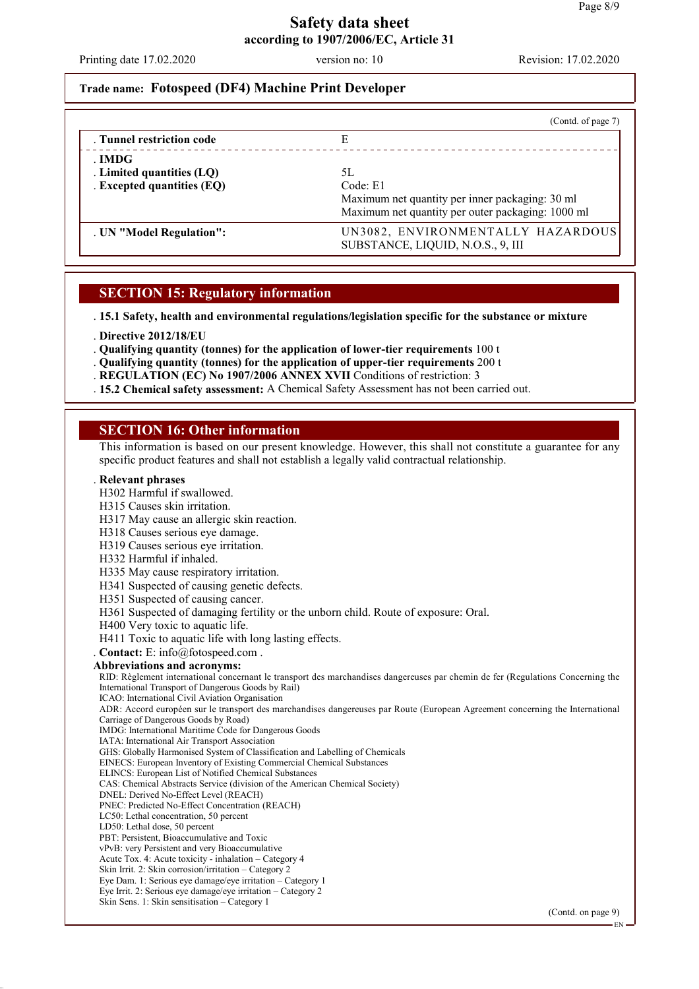Printing date 17.02.2020 version no: 10 Revision: 17.02.2020

## **Trade name: Fotospeed (DF4) Machine Print Developer**

|                                                                   | (Contd. of page 7)                                                                                                     |
|-------------------------------------------------------------------|------------------------------------------------------------------------------------------------------------------------|
| . Tunnel restriction code                                         | E                                                                                                                      |
| . IMDG<br>. Limited quantities (LQ)<br>. Excepted quantities (EQ) | 5L<br>Code: E1<br>Maximum net quantity per inner packaging: 30 ml<br>Maximum net quantity per outer packaging: 1000 ml |
| . UN "Model Regulation":                                          | UN3082, ENVIRONMENTALLY HAZARDOUS<br>SUBSTANCE, LIQUID, N.O.S., 9, III                                                 |

### **SECTION 15: Regulatory information**

. **15.1 Safety, health and environmental regulations/legislation specific for the substance or mixture**

- . **Directive 2012/18/EU**
- . **Qualifying quantity (tonnes) for the application of lower-tier requirements** 100 t
- . **Qualifying quantity (tonnes) for the application of upper-tier requirements** 200 t
- . **REGULATION (EC) No 1907/2006 ANNEX XVII** Conditions of restriction: 3
- . **15.2 Chemical safety assessment:** A Chemical Safety Assessment has not been carried out.

### **SECTION 16: Other information**

This information is based on our present knowledge. However, this shall not constitute a guarantee for any specific product features and shall not establish a legally valid contractual relationship.

#### . **Relevant phrases**

- H302 Harmful if swallowed.
- H315 Causes skin irritation.
- H317 May cause an allergic skin reaction.
- H318 Causes serious eye damage.
- H319 Causes serious eye irritation.
- H332 Harmful if inhaled.
- H335 May cause respiratory irritation.
- H341 Suspected of causing genetic defects.
- H351 Suspected of causing cancer.
- H361 Suspected of damaging fertility or the unborn child. Route of exposure: Oral.
- H400 Very toxic to aquatic life.
- H411 Toxic to aquatic life with long lasting effects.
- . **Contact:** E: info@fotospeed.com .
- **Abbreviations and acronyms:**

RID: Règlement international concernant le transport des marchandises dangereuses par chemin de fer (Regulations Concerning the International Transport of Dangerous Goods by Rail)

ICAO: International Civil Aviation Organisation

ADR: Accord européen sur le transport des marchandises dangereuses par Route (European Agreement concerning the International Carriage of Dangerous Goods by Road)

- IMDG: International Maritime Code for Dangerous Goods
- IATA: International Air Transport Association
- GHS: Globally Harmonised System of Classification and Labelling of Chemicals
- EINECS: European Inventory of Existing Commercial Chemical Substances
- ELINCS: European List of Notified Chemical Substances
- CAS: Chemical Abstracts Service (division of the American Chemical Society)
- DNEL: Derived No-Effect Level (REACH)
- PNEC: Predicted No-Effect Concentration (REACH)
- LC50: Lethal concentration, 50 percent
- LD50: Lethal dose, 50 percent
- PBT: Persistent, Bioaccumulative and Toxic
- vPvB: very Persistent and very Bioaccumulative Acute Tox. 4: Acute toxicity - inhalation – Category 4
- Skin Irrit. 2: Skin corrosion/irritation Category 2
- Eye Dam. 1: Serious eye damage/eye irritation Category 1
- Eye Irrit. 2: Serious eye damage/eye irritation Category 2
- Skin Sens. 1: Skin sensitisation Category 1

(Contd. on page 9)

EN